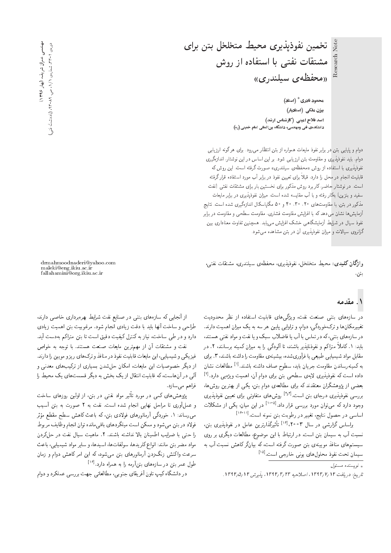Research Note

تخمين نفوذيذيري محيط متخلخل بتن براي مشتقات نفتی با استفاده از روش ((محفظهى سيلندري))

> ەحەود نادرى<sup>\*</sup> (استاد) یزن ملکی (استادیار*)* اسد فلاح امینی (کارشناس ارشد) دانشکدهی فنی ومهندسی، دانشگاه بینالمللی امام خمینی (ره)

دوام و پایایی بتن در برابر نفوذ مایعات همواره از بتن انتظار می رود. برای هرگونه ارزیابی دوام، باید نفوذپذیری و مقاومت بتن ارزیابی شود. بر این اساس در این نوشتار، اندازهگیری نفوذپذیری با استفاده از روش «محفظهی سیلندری» صورت گرفته است. این روش که قابلیت انجام در محل را دارد، قبلاً برای تعیین نفود در برابر اب مورد استفاده قرار درفته<br>ا است. در نوشتار حاضر، کاربرد روش مذکور برای نخستین بار برای مشتقات نفتی (نفت سفيد و بنزين) بهكار رفته و با آب مقايسه شده است. ميزان نفوذپذيرى در برابر مايعات مذکور در بتن، با مقاومتهای ۲۰، ۳۰ و<sup>۵</sup> و ۵۰ مگاپاسکال اندازهگیری شده است. نتایج آزمایش ها نشان م<sub>ی</sub> دهد که با افزایش مقاومت فشاری، مقاومت سطحی و مقاومت در برابر نفوذ سیال در شرایط آزمایشگاهی خشک افزایش مییابد. همچنین تفاوت معناداری بین گرانروی سیالات و میزان نفوذیذیری آن در بتن مشاهده می شود.

واژگان کلیدی: محیط متخلخل، نفوذیذیری، محفظهی سیلندری، مشتقات نفتی، بتن.

drmahmoodnaderi@yahoo.com maleki@eng.ikiu.ac.ir fallahamini@org.ikiu.ac.ir

# ۱. مقدمه

در سازههای بتنی صنعت نفت، ویژگیهای قابلیت استفاده از نظر محدودیت<br>تغییرمکانها و ترکخوردگی، دوام، و تراوایی پایین هر سه به یک میزان اهمیت دارند. در سازههای بتنی، که در تماس با آب یا فاضلاب سبک و یا نفت و مواد نفتی هستند، در سازه های بسی، که در تماس با آب یا قاصلات سبک و یا تفت و مواد تفتی هستند،<br>باید ۱۰۰۷ اگر بازی میده بدارند به ساله گرینده است. باید: ۱. تاملاً متراکم و نفودناپذیر باشند، تا الودکی را به میزان کمینه برسانند، ۲. در<br>جایا جایا میدان مقابل مواد شیمیایی طبیعی یا فرآوریشده، بیشینهی مقاومت را داشته باشند، ۳. برای به کمینهرساندن مقاومت جریان باید. سطوح صاف داشته باشند.<sup>[۱]</sup> مطالعات نشان<br>ایساسی کرینی نیست ای داده است که نفوذپذیری لایهی سطحی بتن برای دوام آن، اهمیت ویژهیی دارد.<sup>[۲]</sup><br>مدد است که ایران مقابل میشود که برای ایل بعضی از پژوهسدران معتقدند که برای مطالعهی دوام بین، یدی از بهترین روس ها،<br>مسجد است است. بررسمی نفوذپذیری درجای بتن است.<sup>[tyr]</sup> روشهای متفاوتی برای تعیین نفوذپذیری<br>مقال است. CqmWt R= |m} 'u=}t u}= QO [105] "O=O Q=Qk |UQQ@ OQwt u=wD|t xm OQ=O OwHw اساسی در حصول نتایج، تغییر در رطوبت بتن نمونه است.<sup>[۱۲-۱۷]</sup><br>را با روگیل میسیس این المالک میتوانید تا این است.

براساس گزارشی در سال ۲۰۰۳،آ<sup>۱۰۲</sup> تأثیرگذارترین عامل در نفوذپذیری بتن،<br>- <sup>آ</sup> سبب آب به سیمان بین است. در ارساط با این موصوع، مطالعات دیگری بر روی<br>است. سیستم های منافذ موییه ی بین صورت درقیه است، نه بیان(در داهس نسبت آب به<br>است که در مورد از این است و این ایل این این این این این این این این کلی و این کلی این به [15] "CU= |HQ=N |vw} |=ypwrLt Pwiv CLD u=t}U

 $\int_{\mathbb{R}}$ و سنده مسئول  $\ast$ 

تاريخ: دريافت ١٣٩٣/٧/ ١٣٩٣، اصلاحيه ١٣٩٣/٣/ ١٣٩٩، پذيرش ١٣٩٢/٥/١٢

از آنجایی که سازههای بتنی در صنایع نفت شرایط بهرهبرداری خاصی دارند.<br>طراحی و ساخت آنها باید با دقت زیادی انجام شود. مرغوبیت بتن اهمیت زیادی طراحی و ساخت آنها باید با دفت زیادی انجام سود. مرغوبیت بین آهمیت زیادی<br>ایست این این سیاست و حرف در میکند و است دارد و در طی ساخت، بیاز به تسرل نیفیت دفیق است تا بین متراثم بهدست آید.<br>منابع

نفت و مشتقات أن از مهمترين مايعات صنعت هستند. با توجه به خواص فیزیکی و شیمیایی، این مایعات قابلیت نفوذ در منافذ و ترک&ای ریزو مویین را دارند.<br>از دیگر خصوصیات این مایعات، امکان حلشدن بسیاری از ترکیبهای معدنی و ار دیدر حصوصیات این مایعات، امدان حل سدن بسیاری از درلیب های معدنی و<br>آلمان استقلال است که استان استان کوچک کوچک استقلال کرد. الی در آنهاست، به قابلیت اسفال از یک بخس به دیگر قسمتهای یک محیط را<br>. ا فراهم مے سازد.

پژوهش های دمی در مورد تاتیر مواد نفتی در بتن، از اولین روزهای ساخت<br>با آمریکا ایران با ایران بود است. و عملآوری تا مراحل نهایی انجام شده است. نفت به ۲ صورت به بتن آسیب می رساند: ۱ . خوردنی ارمانورهای قودی بین، به باعث ناهس سطح مقطع موتر<br>منطقه استفاده استفاده استفاده استفاده با استفاده استفاده استفاده - قولا د در بین می سود و ممکن است میکتردهای باقی ما مده توان انجام وطایف مربوط<br>استفاده استفاده استفاده سایت سایت و مدار را حتى با ضرايب اطمينان بالا نداشته باشند. ٢. ماهيت سيال نفت در حلكردن مواد مضر بتن مانند: انواع كلريدها، سولفاتها، اسيدها، و ساير مواد شيميايي، باعث سرعت واکنش زنگزدن آرماتورهای بتن میشود، که این امر کاهش دوام و زمان طول عمر بتن در سازههای بتنآرمه را به همراه دارد.<sup>[۱۶]</sup><br>مانشگار کسیسا میتمند تا

در دانشگاه کیپ تاون آفریقای جنوبی، مطالعاتی جهت بررسی عملکرد و دوام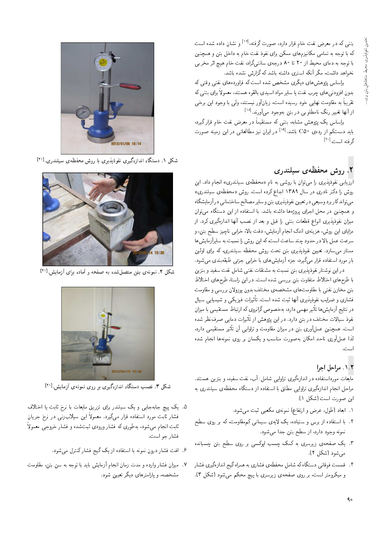بتنی که در معرض نفت خام قرار دارد، صورت گرفته،<sup>[۱۷]</sup> و نشان داده شده است که با توجه به تمامی مکانیزمهای ممکن برای نفوذ نفت خام به داخل بتن و همچنین با توجه به دمای محیط از ۲۰ تا ۸۰ درجهی سانتیگراد، نفت خام هیچ اثر مخربی نخواهد داشت، مگر آنکه استری داشته باشد که گزارش نشده باشد.

براساس پژوهش های دیگری مشخص شده است که فراوردههای نفتی وقتی که بدون افزودنی های چرب نفت یا سایر مواد اسیدی بالقوه هستند، معمولاً برای بتنی که تقریباً به مقاومت نهایی خود رسیده است، زیانآور نیستند، ولی با وجود این برخی از آنها تغییر رنگ نامطلوبی در بتن بهوجود می آورند.<sup>[۱۸]</sup>

براساس یک پژوهش مشابه، بتنبی که مستقیماً در معرض نفت خام قرار گیرد، باید دستکم از رده ی<sup>ه C۵</sup> باشد.<sup>[۱۹]</sup> در ایران نیز مطالعاتی در این زمینه صورت گ فته است. <sup>[۲۰]</sup>

# ۲. روش محفظهی سیلندری

ارزیابی نفوذپذیری را می توان با روشی به نام «محفظهی سیلندری» انجام داد. این روش را دکتر نادری در سال ۱۳۸۹ ابداع کرده است. روش «محفظه ی سیلندری» مي تواند كار برد وسيعي در تعيين نفوذ پذيري بتن و ساير مصالح ساختماني در أزمايشگاه و همچنین در محل اجرای پروژهها داشته باشد. با استفاده از این دستگاه می توان میزان نفوذپذیری انواع قطعات بتنی را قبل و بعد از نصب آنها اندازهگیری کرد. از مزایای این روش، هزینهی اندک انجام آزمایش، دقت بالا، خرابی ناچیز سطح بتن، و سرعت عمل بالا در حدود چند ساعت است، که این روش را نسبت به سایرآزمایش ها ممتاز میهسازد. تعیین نفوذپذیری بتن تحت روش محفظه سیلندری، که برای اولین بار مورد استفاده قرار میگیرد، جزء آزمایش های با خرابی جزئی طبقهبندی میشود.

دراین نوشتار نفوذیذیری بتن نسبت به مشتقات نفتی شامل نفت سفید و بنزین با طرح های اختلاط متفاوت بتن بررسی شده است. در این راستا، طرح های اختلاط بتن مخازن نفتی با مقاومتهای مشخصهی مختلف بدون پوزولان بررسی و مقاومت فشاری و ضرایب نفوذیذیری أنها ثبت شده است. تأثیرات فیزیکی و شیمیایی سیال در نتایج آزمایش ها تأثیر مهمی دارد، بهخصوص گرانروی که ارتباط مستقیمی با میزان نفوذ سیالات مختلف در بتن دارد. در این پژوهش از تأثیرات دمایی صرفنظر شده است. همچنین عملآوری بتن در میزان مقاومت و تلوایی آن تأثیر مستقیمی دارد، لذا عملآوری تاحد امکان بهصورت مناسب و یکسان بر روی نمونهها انجام شده

## ۰۱.۲ مراحل اجرا

مایعات مورداستفاده در اندازهگیری تراوایی شامل: آب، نفت سفید، و بنزین هستند. مراحل انجام اندازهگیری تراوایی مطلق با استفاده از دستگاه محفظهی سیلندری به اين صورت است (شكل ١):

- ١. ابعاد (طول، عرض و ارتفاع) نمونهى مكعبى ثبت مى شود.
- ۲. با استفاده از برس و سنباده، یک لایهی سیمانی کممقاومت، که بر روی سطح نمونه وجود دارد، از سطح بتن جدا میشود.
- ۳. یک صفحهی زیرسری به کمک چسب اپوکسی بر روی سطح بتن چسبانده مي شود (شكل ٢).
- ۴. قسمت فوقانی دستگاه که شامل محفظهی فشاری به همراه گیج اندازهگیری فشار و میکرومتر است، بر روی صفحهی زیرسری با پیچ محکم میشود (شکل ۳).



شکل ۱. دستگاه اندازهگیری نفوذپذیری با روش محفظهی سیلندری. [۲۱]



شکل ۲. نمونهی بتن متصل شده به صفحه و آماده برای آزمایش. [۲۱]



شکل ۳. نصب دستگاه اندازهگیری بر روی نمونهی آزمایش.الاتا

- ۵. یک پیچ جابهجایی و یک سیلندر برای تزریق مایعات با نرخ ثابت یا اختلاف فشار ثابت مورد استفاده قرار مىگیرد. معمولاً این سیلاب;نی در نرخ جریان ثابت انجام میهشود، بهطوری که فشار ورودی ثبتشده و فشار خروجی معمولاً فشار جو است.
	- ۶. افت فشار درون نمونه با استفاده از یک گیج فشار کنترل میشود.
- ٧. میزان فشار وارده و مدت زمان انجام أزمایش باید با توجه به سن بتن، مقاومت مشخصه، و پارامترهای دیگر تعیین شود.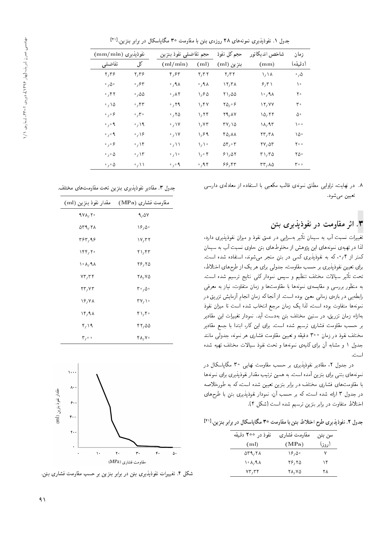جدول ۱. نفوذپذیری نمونههای ۲۸ روزهی بتن با مقاومت °۳ مگاپاسکال در برابر بنزین.<sup>[۲۱]</sup><br>-

| نفوذيذيري (mm/min)                          |                          | حجم تفاضلي نفوذ بنزين |                          | حجم کل نفوذ                                     | شاخص انديكاتور                              | زمان               |
|---------------------------------------------|--------------------------|-----------------------|--------------------------|-------------------------------------------------|---------------------------------------------|--------------------|
| تفاضلي                                      | کل                       | (ml/min)              | (m <sub>l</sub> )        | بنزين (ml)                                      | (mm)                                        | (دقىقە)            |
| Y, Y                                        | ۲٫۳۶                     | ۴٫۶۳                  | $\mathbf{r}, \mathbf{r}$ | $\mathbf{y}, \mathbf{r}$                        | ハハ                                          | $\cdot$ , $\Delta$ |
| $\cdot$ , $\Delta \cdot$                    | ۶۳، ه                    | ۸ ۹٫۰                 | ۸ ۹ ۰                    | 17,71                                           | 9,71                                        | ۱۰                 |
| ۴۲ ک                                        | ۵۵، ۰                    | ۸۲ ه.                 | ۱٬۶۵                     | ۲۱,۵۵                                           | ۱۰٬۹۸                                       | ۲۰                 |
| ۰٬۱۵                                        | ۴۳، ۱۰                   | $\cdot$ , ۲۹          | ۱٬۴۷                     | ۲۵٬۰۶                                           | 12,77                                       | ۳۰                 |
| $\circ$ , $\circ$ $\circ$                   | $\cdot$ , $\mathsf{r}$ . | ۲۵،                   | ۱٬۲۴                     | 29, AV                                          | ۱۵٬۲۲                                       | ۵۰                 |
| $\circ$ , $\circ$ 9                         | ۰٫۱۹                     | $\cdot$ , \ Y         | ۱٬۷۳                     | $TV, \Delta$                                    | ۱۸٬۹۳                                       | ه ه ۱              |
| $\circ$ , $\circ$ 9                         | $\cdot$ , \ $\circ$      | $\cdot$ , \ Y         | ۱٬۶۹                     | 40,88                                           | $\mathsf{Y}\mathsf{Y},\mathsf{Y}\mathsf{A}$ | ١۵۰                |
| $\mathcal{S}_{\mathcal{A}}\circ\mathcal{S}$ | $\cdot$ , \ ۴            | ・ハー                   | いい                       | $\delta \mathfrak{r}_{\ell} \cdot \mathfrak{r}$ | 77,00                                       | ه ۲۰               |
| $\circ$ , $\circ$ $\Delta$                  | $\cdot$ $\wedge$ $\vee$  | $\cdot$ / $\cdot$     | ۲ ۰ ۱                    | 81,01                                           | $r_1$ , $r_0$                               | ۲۵۰                |
| $\circ$ , $\circ$ $\Delta$                  |                          | $\cdot$ , $\cdot$ 9   | ٬٫۹۴                     | 88,87                                           | rrA0                                        | ۰ ه ۳              |

۸. در نهایت، ت<sub>ل</sub>وایی مطلق نمونهی قالب مکعبی با استفاده از معادلهی دارسی تعيين مي شود.

# ۳. اثر مقاومت در نفوذیذیری بتن

بیر به سرایی در عمی بقود و میزان بقودپدیری دارد،<br>مساحات اطراح تغییرات نسبت آب به سیمان تأثیر بهسزایی در عمق نفوذ و میزان نفوذیذیری دارد، ندا در بهیهی نمونههای این پژوهس از محتوط های بین حاوی سبب اب به سیمان<br>حمایت الله کمتر از ۰٫۴ که به نفوذپذیری کمی در بتن منجر میشوند، استفاده شده است. برای تعیین نفوذپذیری بر حسب مقاومت، جدولی برای هر یک از طرح های اختلاط، تحت تأتير سيالات مختلف تنظيم و سپس نمودار دلى نتايج ترسيم شده است.<br>منا به منظور بررسی و مقایسهی نمونهها با مقاومتها و زمان متفاوت، نیاز به معرفی رابطه یی در بازهی زمانی معین بوده است. از آنجا که زمان انجام آزمایش تزریق در نمونهها متفاوت بوده است، لذا يک زمان مرجع انتخاب شده است تا ميزان نفوذ بهازاء زمان تزریق، در سنین مختلف بتن بهدست آید. نمودار تغییرات این مقادیر بر حسب مقاومت فشارى ترسيم شده است. براى اين كار، ابتدا با جمع مقادير مختلف نفوذ در زمان °۲۰ دقیقه و تعیین مقاومت فشاری هر نمونه، جدول<sub>ی</sub> مانند جدول ۱ و مشابه آن برای کلیهی نمونهها و تحت نفوذ سیالات مختلف تهیه شده است.

<mark>در</mark> جدول ۲، مقادیر نفوذپذیری بر حسب مقاومت نهایی ۳۰ مگایاسکال در نمونههای بتنی برای بنزین آمده است. به همین ترتیب مقدار نفوذپذیری برای نمونهها<br>با مقاومتههای فشاری مختلف در برابر بنزین تعیین شده است، که به طورخلاصه با مقاومتهای فساری محتلف در برابر بیزین تعیین سده است، که به طورخلاصه<br>این این این است از سال این مورد است. در جدول ۱ آرائه سده است، ده بر حسب آن، سودار تقودپدیری بین با طرح های<br>اینکها اختلاط متفاوت در برابر بنزين ترسيم شده است (شكل ۴).

جدول ۲. نفوذپذیری طرح اختلاط بتن با مقاومت °۳ مگاپاسکال در برابر بنزین.<sup>[۲۱</sup>]<br>-

| نفوذ در ۲۰۰ دقیقه | مقاومت فشارى | سن بتن |
|-------------------|--------------|--------|
| (ml)              | (MPa)        | (روز)  |
| $\Delta r$ 9,78   | ۱۶٬۵۰        | ۷      |
| ۱۰ ۸, ۹ ۸         | 28,20        | ۱۴     |
| $VT, \tau f$      | 28, Y 2      | ۲ ۸    |
|                   |              |        |

جدول ٣. مقادير نفوذيذيري بنزين تحت مقاومتهاي مختلف.

| مقدار نفوذ بنزين (ml)                | مقاومت فشاری (MPa) |
|--------------------------------------|--------------------|
| $4V\Lambda, 7\cdot$                  | 9,07               |
| $\Delta r$ 9, $\gamma \wedge \Delta$ | ۱۶٬۵۰              |
| ۳۶۳٫۹۶                               | ۱۷٬۳۲              |
| ۲۴۴٫۲۰                               | ۲۱٬۴۳              |
| ۱۰ ۸٬۹۸                              | 28,20              |
| ۲۳٫۳۴                                | 78, VQ             |
| 23, YT                               | $r \cdot \rho$ .   |
| ۱۶٬۷۸                                | ۲۷٬۱۰              |
| ۱۴٫۹۸                                | ۴۱٬۴۰              |
| ۲٫۱۹                                 | 42,00              |
| $\mathbf{r}_{1}$ .                   | ۴۸٬۷۰              |



شکل ۴. تغییرات نفوذپذیری بتن در برابر بنزین بر حسب مقاومت فشاری بتن.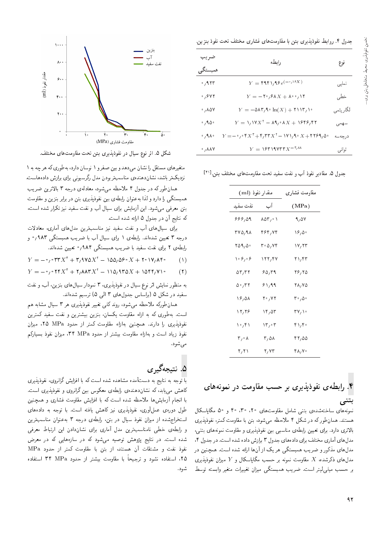### جدول ۴. روابط نفوذيذيرى بتن با مقاومتهاى فشارى مختلف تحت نفوذ بنزين.

| ضريب                          | رابطه                                                                                                                                                                                   | نوع      |  |
|-------------------------------|-----------------------------------------------------------------------------------------------------------------------------------------------------------------------------------------|----------|--|
| همبستگي                       |                                                                                                                                                                                         |          |  |
| $\cdot$ , 9 $\tau\tau$        | $Y = \text{HIPV}_1 \text{He}^{(-1) \cdot \text{V} X}$                                                                                                                                   | نمایے,   |  |
| $\cdot$ , $\gamma$ y $\gamma$ | $Y = -\mathsf{Y}^\circ / \mathsf{P} \Lambda X + \mathsf{A}^\circ \cdot / \mathsf{Y}$                                                                                                    | خطے ،    |  |
| ۸۵۷، ۰                        | $Y = -\mathsf{QAT}_{\mathsf{A}} \cdot \ln(X) + \mathsf{TINT}_{\mathsf{A}} \cdot$                                                                                                        | لگاريتمي |  |
| $\cdot$ , 9.0 $\cdot$         | $Y = \lambda_1 V X^{\dagger} - \lambda_1 \cdot \lambda_2 + \lambda_3 \cdot \lambda_3 + \lambda_4$                                                                                       | سهمى     |  |
| $\cdot$ , 9 $\wedge$ $\cdot$  | $Y = -\cdot$ , $Y = \uparrow X^{\dagger} + \uparrow$ , $\uparrow \uparrow X^{\dagger} - \uparrow \uparrow \uparrow$ , $\uparrow \circ X + \uparrow \uparrow \uparrow \uparrow \uparrow$ | د رحه سه |  |
| $\cdot$ , $\wedge\wedge\vee$  | $Y = Y$ $Y'Y'Y''YX^{-1}$                                                                                                                                                                | توانى    |  |

جدول ۵. مقادیر نفوذ أب و نفت سفید تحت مقاومتهای مختلف بتن.[<sup>۲۱</sup>]<br>.

| مقدار نفوذ (ml) |          | مقاومت فشارى |
|-----------------|----------|--------------|
| نفت سفيد        | آب       | (MPa)        |
| ۵۹ ,۶۶ ک        | ۰۱ ۱۵۸/۰ | 9, 57        |
| ۳۷۵٬۹۸          | 464,74   | ۱۶٫۵۰        |
| ۲۵۹٬۵۰          | ۳۰۵٬۷۴   | ۲۲ ۱۷٫       |
| ۰۶٫۰۶           | ۱۲۲٫۴۷   | ۲۱٬۴۳        |
| $\delta r, r$   | ۶۵٬۳۹    | 28,20        |
| ۰٫۳۲ ه          | ۶۱٬۹۹    | 28, Y 2      |
| 18,01           | ۲۰٬۷۲    | ۵۰ ۲۰ م      |
| ۱۲٫۲۶           | ۱۴,۵۳    | ۲۷٫۱۰        |
| ۱۰٬۴۱           | ۲۳٫۰۳    | ۴۱٬۴۰        |
| ۰۸ ۲٫۰          | ۳٫۵۸     | 42,00        |
| ۲٫۲۱            | ۲٬۷۳     | ۴۸٬۷۰        |
|                 |          |              |



هستند. همان $d$ ورکه در شکل ۴ ملاحظه می شود، بتن با مقاومت کمتر، نفوذیذیری بالاترى دارد. براى تعيين رابطهى مناسبى بين نفوذيذيرى و مقاومت نمونههاى بتنبي، مدل های آماری مختلف برای دادههای جدول ۳ برازش داده شده است. در جدول ۴، مدل های آماری محتلف برای دادههای جدول ۱ برازس داده سده است. در جدول ۱،<br>مدل سامنیک مدل های مدتور و صریب همبسدنی هر یک از آن ها آرانه سده است. همچنین در<br>مدل است که بیست که حتا مدل $\mathfrak{sl}_2$ های ذکرشده،  $X$  مقاومت نمونه بر حسب مگاپاسکال و  $Y$  میزان نفوذیذیری بر حسب میلی لیتر است. ضریب همبستگی میزان تغییرات متغیر وابسته توسط



شکل ۵. اثر نوع سیال در نفوذپذیری بتن تحت مقاومتهای مختلف.

متغیرهای مستقل را نشان میدهد و بین صفر و ۱ نوسان دارد، بهطوری که هر چه به ۱ نزدیکتر باشد، نشاندهندهی مناسبتربودن مدل رگرسیونی برای برازش دادههاست.

همان طورکه در جدول ۴ ملاحظه می شود، معادلهی درجه ۳ بالاترین ضریب همبستگی را دارد و لذا به عنوان رابطهی بین نفوذیذیری بتن در برابر بنزین و مقاومت بتن معرفی میشود. این أزمایش برای سیال أب و نفت سفید نیز تکرار شده است. که نتایج آن در جدول ۵ ارائه شده است.<br>برای سیالءای آب و نفت سفید نیز مناسبترین مدل،های آماری، معادلات

درجه ۳ تعیین شدهاند. رابطهی ۱ برای سیال آب با ضریب همیستگی ۹۸۳ *(*۰ و درجه ۱ نعیین سده اند. رابطهی ۱ برای سیال آب با صریب همبستگی ۱۸۱ /° و<br>اساسی استان مناسب میسانید رابطهی ۱ برای تقت سفید با صریب همبستگی ۷۸۱ /° تعیین سدهاند.<br>.

- $Y = -\frac{1}{2} \int_{0}^{2\pi} \mathbf{Y} \mathbf{Y} \mathbf{X}^{\mathsf{T}} + \mathbf{Y}_{I} \mathbf{Y} \mathbf{0} \mathbf{X}^{\mathsf{T}} \mathbf{1} \mathbf{0} \mathbf{0}_{I} \mathbf{0} \mathbf{Y} \mathbf{0} \mathbf{X} + \mathbf{Y} \mathbf{0} \mathbf{Y}_{I} \mathbf{A} \mathbf{Y} \mathbf{0} \tag{1}$
- $Y = -\frac{1}{2} \int f^{\dagger} X^{\dagger} + \frac{1}{2} \Lambda \Lambda^{\dagger} X^{\dagger} \frac{1}{2} \Lambda \Lambda^{\dagger} X + \frac{1}{2} \Lambda^{\dagger} \Lambda^{\dagger} Y^{\dagger} \tag{7}$

به منظور نمایش اثر نوع سیال در نفوذیذیری، ۳ نمودار سیال های بنزین، آب، و نفت سفید در شکل ۵ (براساس جدولهای ۳ المی ۵) ترسیم شدهاند.

همان طورکه ملاحظه می شود، روند کلمی تغییر نفوذپذیری هر ۳ سیال مشابه هم است. به طوری که به ازاء مقاومت یکسان، بنزین بیشترین و نفت سفید کمترین نفوذيذيرى را دارند. همچنين بهازاء مقاومت كمتر از حدود MPa، ميزان نفوذ زياد است و بهازاء مقاومت بيشتر از حدود MPa، ميزان نفوذ بسياركم مے ,شود.

**۵. نـتـیجهگیری**<br>با توجه به نتایج به دستآمده مشاهده شده است که با افزایش گرانروی، نفوذیذیری با نوجه به تنايج به دست آمده متناهده سده است له با افزايس درآبروی، نفوذپذيری<br>من مسئل جنس بن است كه با است كه با است كه با است كه با است بن من است كه با است كه با است كه با است كه با است ك داهس می بابد، که سان(دهندهی رابطهی معکوس بین درآزروی و تقود پذیری است.<br>ایل ایران آی این سایه بایی سایت که ایل این ستا با انجام أزمايش ها ملاحظه شده است كه با افزايش مقاومت فشارى و همچنين طول دورهى عمل أورى، نفوذپذيرى نيز كاهش يافته است. با توجه به دادههاى استخراج شده از ميزان نفوذ سيال در بتن، رابطهى درجه ٣ به عنوان مناسب ترين و رابطهى خطى نامناسب ترين مدل أمارى براى نشاندادن اين ارتباط معرفى شده است. در نتایج پژوهش توصیه میشود که در سازههایی که در معرض نفوذ نفت و مشتقات آن هستند، از بتن با مقاومت کمتر از حدود MPa ۲۵، استفاده نشود و ترجیحا با مقاومت بیشتر از حدود MPa استفاده<br>م شود.